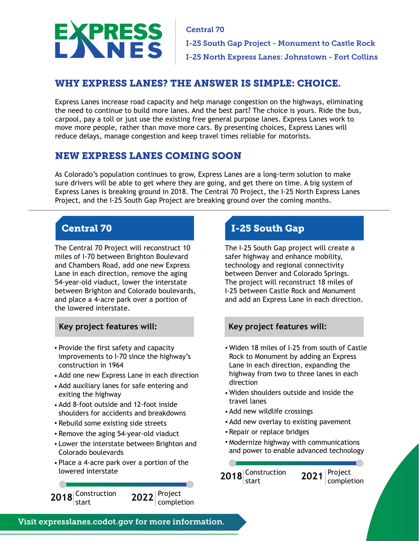

Central 70 I-25 South Gap Project - Monument to Castle Rock I-25 North Express Lanes: Johnstown - Fort Collins

# WHY EXPRESS LANES? THE ANSWER IS SIMPLE: CHOICE.

Express Lanes increase road capacity and help manage congestion on the highways, eliminating the need to continue to build more lanes. And the best part? The choice is yours. Ride the bus, carpool, pay a toll or just use the existing free general purpose lanes. Express Lanes work to move more people, rather than move more cars. By presenting choices, Express Lanes will reduce delays, manage congestion and keep travel times reliable for motorists.

# NEW EXPRESS LANES COMING SOON

As Colorado's population continues to grow, Express Lanes are a long-term solution to make sure drivers will be able to get where they are going, and get there on time. A big system of Express Lanes is breaking ground in 2018. The Central 70 Project, the I-25 North Express Lanes Project, and the I-25 South Gap Project are breaking ground over the coming months.

The Central 70 Project will reconstruct 10 miles of I-70 between Brighton Boulevard and Chambers Road, add one new Express Lane in each direction, remove the aging 54-year-old viaduct, lower the interstate between Brighton and Colorado boulevards, and place a 4-acre park over a portion of the lowered interstate.

## **Key project features will: Key project features will:**

- Provide the first safety and capacity improvements to I-70 since the highway's construction in 1964
- Add one new Express Lane in each direction
- Add auxiliary lanes for safe entering and exiting the highway
- Add 8-foot outside and 12-foot inside shoulders for accidents and breakdowns
- Rebuild some existing side streets
- Remove the aging 54-year-old viaduct
- Lower the interstate between Brighton and Colorado boulevards
- Place a 4-acre park over a portion of the lowered interstate



# **Central 70 I-25 South Gap**

The I-25 South Gap project will create a safer highway and enhance mobility, technology and regional connectivity between Denver and Colorado Springs. The project will reconstruct 18 miles of I-25 between Castle Rock and Monument and add an Express Lane in each direction.

- Widen 18 miles of I-25 from south of Castle Rock to Monument by adding an Express Lane in each direction, expanding the highway from two to three lanes in each direction
- Widen shoulders outside and inside the travel lanes
- Add new wildlife crossings
- Add new overlay to existing pavement
- Repair or replace bridges
- Modernize highway with communications and power to enable advanced technology

Construction 2018 start **2021 Completion**  $2021$ <sup>Project</sup>

Visit expresslanes.codot.gov for more information.